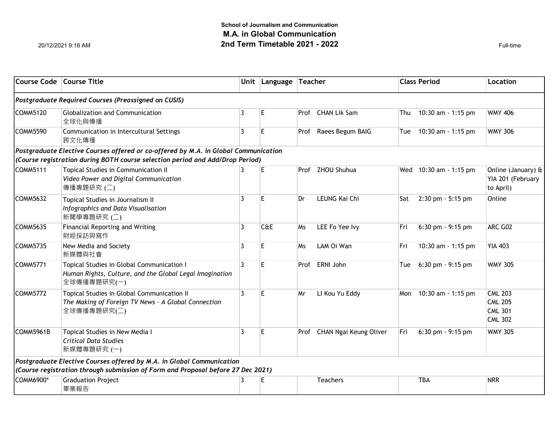|                                                                                                                                                                      | Course Code   Course Title                                                                                                                                |                | Unit Language Teacher |      |                        | <b>Class Period</b> |                        | Location                                                             |  |  |  |  |  |
|----------------------------------------------------------------------------------------------------------------------------------------------------------------------|-----------------------------------------------------------------------------------------------------------------------------------------------------------|----------------|-----------------------|------|------------------------|---------------------|------------------------|----------------------------------------------------------------------|--|--|--|--|--|
| Postgraduate Required Courses (Preassigned on CUSIS)                                                                                                                 |                                                                                                                                                           |                |                       |      |                        |                     |                        |                                                                      |  |  |  |  |  |
| COMM5120                                                                                                                                                             | Globalization and Communication<br>全球化與傳播                                                                                                                 | 3              | E                     | Prof | <b>CHAN Lik Sam</b>    | Thu                 | 10:30 am - 1:15 pm     | <b>WMY 406</b>                                                       |  |  |  |  |  |
| COMM5590                                                                                                                                                             | Communication in Intercultural Settings<br>跨文化傳播                                                                                                          | 3              | E                     | Prof | Raees Begum BAIG       | Tue                 | 10:30 am - 1:15 pm     | <b>WMY 306</b>                                                       |  |  |  |  |  |
| Postgraduate Elective Courses offered or co-offered by M.A. in Global Communication<br>(Course registration during BOTH course selection period and Add/Drop Period) |                                                                                                                                                           |                |                       |      |                        |                     |                        |                                                                      |  |  |  |  |  |
| COMM5111                                                                                                                                                             | Topical Studies in Communication II<br>Video Power and Digital Communication<br>傳播專題研究 (二)                                                                | 3              | E                     |      | Prof ZHOU Shuhua       |                     | Wed 10:30 am - 1:15 pm | Online (January) &<br>YIA 201 (February<br>to April)                 |  |  |  |  |  |
| COMM5632                                                                                                                                                             | Topical Studies in Journalism II<br>Infographics and Data Visualisation<br>新聞學專題研究 (二)                                                                    | $\overline{3}$ | F                     | Dr   | LEUNG Kai Chi          | Sat                 | 2:30 pm - 5:15 pm      | Online                                                               |  |  |  |  |  |
| COMM5635                                                                                                                                                             | Financial Reporting and Writing<br>財經採訪與寫作                                                                                                                | 3              | C <sub>0</sub> E      | Ms   | LEE Fo Yee Ivy         | Fri                 | 6:30 pm - 9:15 pm      | ARC G02                                                              |  |  |  |  |  |
| COMM5735                                                                                                                                                             | New Media and Society<br>新媒體與社會                                                                                                                           | 3              | E                     | Ms   | LAM Oi Wan             | Fri                 | 10:30 am - 1:15 pm     | <b>YIA 403</b>                                                       |  |  |  |  |  |
| COMM5771                                                                                                                                                             | Topical Studies in Global Communication I<br>Human Rights, Culture, and the Global Legal Imagination<br>全球傳播專題研究(一)                                       | 3              | E                     | Prof | ERNI John              | Tue                 | 6:30 pm - 9:15 pm      | <b>WMY 305</b>                                                       |  |  |  |  |  |
| COMM5772                                                                                                                                                             | Topical Studies in Global Communication II<br>The Making of Foreign TV News - A Global Connection<br>全球傳播專題研究(二)                                          | $\overline{3}$ | F                     | Mr   | LI Kou Yu Eddy         | Mon                 | 10:30 am - 1:15 pm     | <b>CML 203</b><br><b>CML 205</b><br><b>CML 301</b><br><b>CML 302</b> |  |  |  |  |  |
| COMM5961B                                                                                                                                                            | Topical Studies in New Media I<br><b>Critical Data Studies</b><br>新媒體專題研究 (一)                                                                             | 3              | E                     | Prof | CHAN Ngai Keung Oliver | Fri                 | 6:30 pm - 9:15 pm      | <b>WMY 305</b>                                                       |  |  |  |  |  |
|                                                                                                                                                                      | Postgraduate Elective Courses offered by M.A. in Global Communication<br>(Course registration through submission of Form and Proposal before 27 Dec 2021) |                |                       |      |                        |                     |                        |                                                                      |  |  |  |  |  |
| COMM6900*                                                                                                                                                            | <b>Graduation Project</b><br>畢業報告                                                                                                                         | 3              | Е                     |      | Teachers               |                     | <b>TBA</b>             | <b>NRR</b>                                                           |  |  |  |  |  |